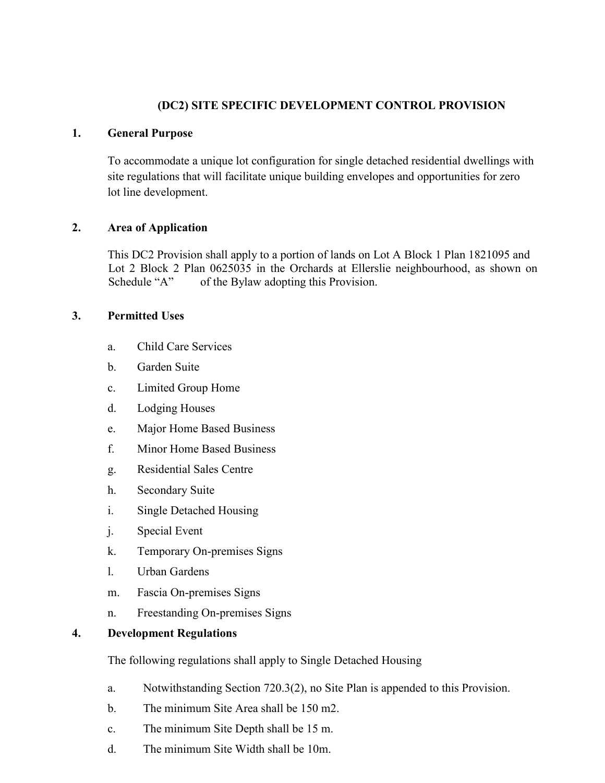### **(DC2) SITE SPECIFIC DEVELOPMENT CONTROL PROVISION**

### **1. General Purpose**

To accommodate a unique lot configuration for single detached residential dwellings with site regulations that will facilitate unique building envelopes and opportunities for zero lot line development.

# **2. Area of Application**

This DC2 Provision shall apply to a portion of lands on Lot A Block 1 Plan 1821095 and Lot 2 Block 2 Plan 0625035 in the Orchards at Ellerslie neighbourhood, as shown on Schedule "A" of the Bylaw adopting this Provision.

# **3. Permitted Uses**

- a. Child Care Services
- b. Garden Suite
- c. Limited Group Home
- d. Lodging Houses
- e. Major Home Based Business
- f. Minor Home Based Business
- g. Residential Sales Centre
- h. Secondary Suite
- i. Single Detached Housing
- j. Special Event
- k. Temporary On-premises Signs
- l. Urban Gardens
- m. Fascia On-premises Signs
- n. Freestanding On-premises Signs

#### **4. Development Regulations**

The following regulations shall apply to Single Detached Housing

- a. Notwithstanding Section 720.3(2), no Site Plan is appended to this Provision.
- b. The minimum Site Area shall be 150 m2.
- c. The minimum Site Depth shall be 15 m.
- d. The minimum Site Width shall be 10m.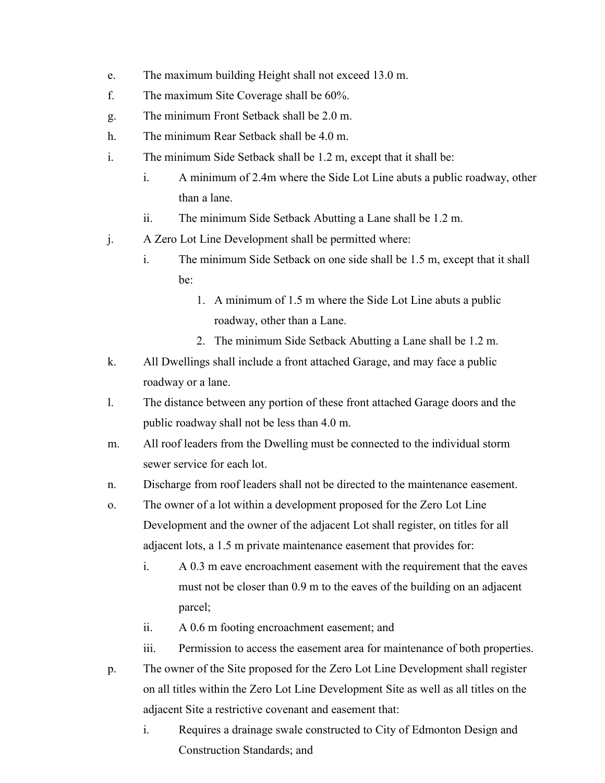- e. The maximum building Height shall not exceed 13.0 m.
- f. The maximum Site Coverage shall be 60%.
- g. The minimum Front Setback shall be 2.0 m.
- h. The minimum Rear Setback shall be 4.0 m.
- i. The minimum Side Setback shall be 1.2 m, except that it shall be:
	- i. A minimum of 2.4m where the Side Lot Line abuts a public roadway, other than a lane.
	- ii. The minimum Side Setback Abutting a Lane shall be 1.2 m.
- j. A Zero Lot Line Development shall be permitted where:
	- i. The minimum Side Setback on one side shall be 1.5 m, except that it shall be:
		- 1. A minimum of 1.5 m where the Side Lot Line abuts a public roadway, other than a Lane.
		- 2. The minimum Side Setback Abutting a Lane shall be 1.2 m.
- k. All Dwellings shall include a front attached Garage, and may face a public roadway or a lane.
- l. The distance between any portion of these front attached Garage doors and the public roadway shall not be less than 4.0 m.
- m. All roof leaders from the Dwelling must be connected to the individual storm sewer service for each lot.
- n. Discharge from roof leaders shall not be directed to the maintenance easement.
- o. The owner of a lot within a development proposed for the Zero Lot Line Development and the owner of the adjacent Lot shall register, on titles for all adjacent lots, a 1.5 m private maintenance easement that provides for:
	- i. A 0.3 m eave encroachment easement with the requirement that the eaves must not be closer than 0.9 m to the eaves of the building on an adjacent parcel;
	- ii. A 0.6 m footing encroachment easement; and
	- iii. Permission to access the easement area for maintenance of both properties.
- p. The owner of the Site proposed for the Zero Lot Line Development shall register on all titles within the Zero Lot Line Development Site as well as all titles on the adjacent Site a restrictive covenant and easement that:
	- i. Requires a drainage swale constructed to City of Edmonton Design and Construction Standards; and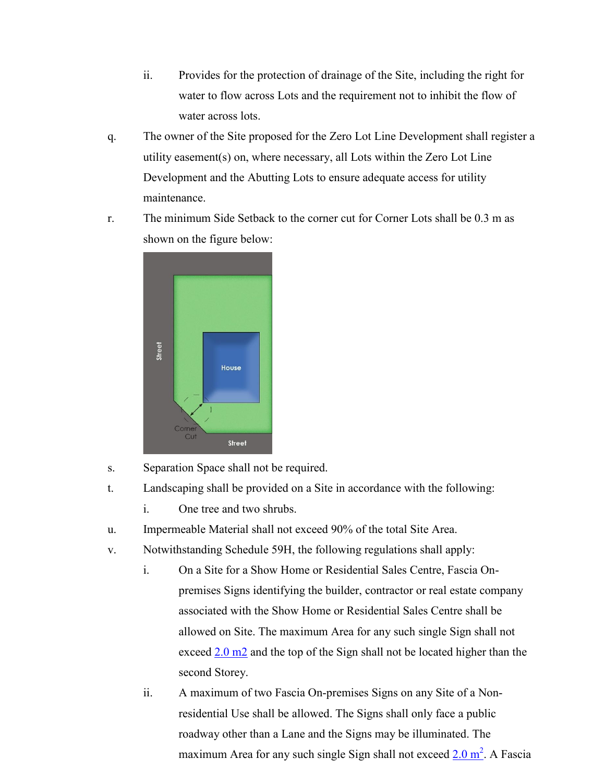- ii. Provides for the protection of drainage of the Site, including the right for water to flow across Lots and the requirement not to inhibit the flow of water across lots.
- q. The owner of the Site proposed for the Zero Lot Line Development shall register a utility easement(s) on, where necessary, all Lots within the Zero Lot Line Development and the Abutting Lots to ensure adequate access for utility maintenance.
- r. The minimum Side Setback to the corner cut for Corner Lots shall be 0.3 m as shown on the figure below:



- s. Separation Space shall not be required.
- t. Landscaping shall be provided on a Site in accordance with the following:
	- i. One tree and two shrubs.
- u. Impermeable Material shall not exceed 90% of the total Site Area.
- v. Notwithstanding Schedule 59H, the following regulations shall apply:
	- i. On a Site for a Show Home or Residential Sales Centre, Fascia Onpremises Signs identifying the builder, contractor or real estate company associated with the Show Home or Residential Sales Centre shall be allowed on Site. The maximum Area for any such single Sign shall not exceed 2.0 m<sub>2</sub> and the top of the Sign shall not be located higher than the second Storey.
	- ii. A maximum of two Fascia On-premises Signs on any Site of a Nonresidential Use shall be allowed. The Signs shall only face a public roadway other than a Lane and the Signs may be illuminated. The maximum Area for any such single Sign shall not exceed [2.0](javascript:void(0);) m<sup>2</sup>. A Fascia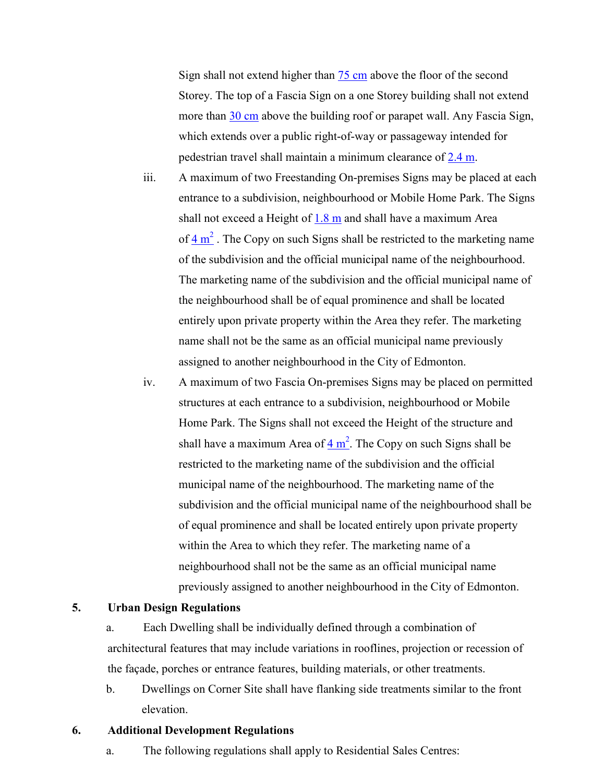Sign shall not extend higher than  $75 \text{ cm}$  $75 \text{ cm}$  $75 \text{ cm}$  above the floor of the second Storey. The top of a Fascia Sign on a one Storey building shall not extend more than 30 [cm](javascript:void(0);) above the building roof or parapet wall. Any Fascia Sign, which extends over a public right-of-way or passageway intended for pedestrian travel shall maintain a minimum clearance of  $2.4$  m.

- iii. A maximum of two Freestanding On-premises Signs may be placed at each entrance to a subdivision, neighbourhood or Mobile Home Park. The Signs shall not exceed a Height of  $1.8 \text{ m}$  $1.8 \text{ m}$  and shall have a maximum Area of  $4 \text{ m}^2$  $4 \text{ m}^2$  $4 \text{ m}^2$ . The Copy on such Signs shall be restricted to the marketing name of the subdivision and the official municipal name of the neighbourhood. The marketing name of the subdivision and the official municipal name of the neighbourhood shall be of equal prominence and shall be located entirely upon private property within the Area they refer. The marketing name shall not be the same as an official municipal name previously assigned to another neighbourhood in the City of Edmonton.
- iv. A maximum of two Fascia On-premises Signs may be placed on permitted structures at each entrance to a subdivision, neighbourhood or Mobile Home Park. The Signs shall not exceed the Height of the structure and shall have a [m](javascript:void(0);)aximum Area of  $4 \text{ m}^2$ . The Copy on such Signs shall be restricted to the marketing name of the subdivision and the official municipal name of the neighbourhood. The marketing name of the subdivision and the official municipal name of the neighbourhood shall be of equal prominence and shall be located entirely upon private property within the Area to which they refer. The marketing name of a neighbourhood shall not be the same as an official municipal name previously assigned to another neighbourhood in the City of Edmonton.

#### **5. Urban Design Regulations**

a. Each Dwelling shall be individually defined through a combination of architectural features that may include variations in rooflines, projection or recession of the façade, porches or entrance features, building materials, or other treatments.

b. Dwellings on Corner Site shall have flanking side treatments similar to the front elevation.

#### **6. Additional Development Regulations**

a. The following regulations shall apply to Residential Sales Centres: